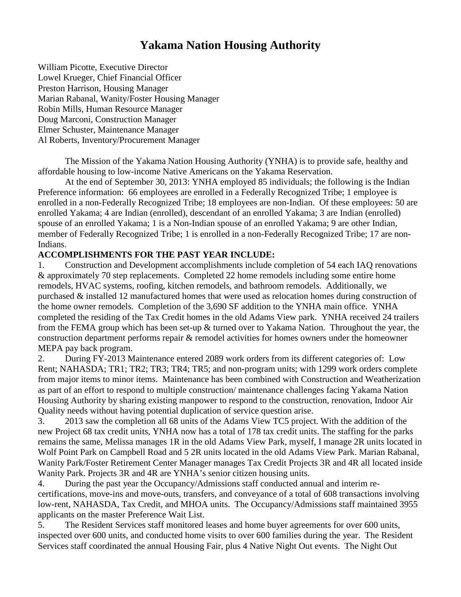## **Yakama Nation Housing Authority**

William Picotte, Executive Director Lowel Krueger, Chief Financial Officer Preston Harrison, Housing Manager Marian Rabanal, Wanity/Foster Housing Manager Robin Mills, Human Resource Manager Doug Marconi, Construction Manager Elmer Schuster, Maintenance Manager Al Roberts, Inventory/Procurement Manager

The Mission of the Yakama Nation Housing Authority (YNHA) is to provide safe, healthy and affordable housing to low-income Native Americans on the Yakama Reservation.

At the end of September 30, 2013: YNHA employed 85 individuals; the following is the Indian Preference information: 66 employees are enrolled in a Federally Recognized Tribe; 1 employee is enrolled in a non-Federally Recognized Tribe; 18 employees are non-Indian. Of these employees: 50 are enrolled Yakama; 4 are Indian (enrolled), descendant of an enrolled Yakama; 3 are Indian (enrolled) spouse of an enrolled Yakama; 1 is a Non-Indian spouse of an enrolled Yakama; 9 are other Indian, member of Federally Recognized Tribe; 1 is enrolled in a non-Federally Recognized Tribe; 17 are non-Indians.

## **ACCOMPLISHMENTS FOR THE PAST YEAR INCLUDE:**

1. Construction and Development accomplishments include completion of 54 each IAQ renovations & approximately 70 step replacements. Completed 22 home remodels including some entire home remodels, HVAC systems, roofing, kitchen remodels, and bathroom remodels. Additionally, we purchased & installed 12 manufactured homes that were used as relocation homes during construction of the home owner remodels. Completion of the 3,690 SF addition to the YNHA main office. YNHA completed the residing of the Tax Credit homes in the old Adams View park. YNHA received 24 trailers from the FEMA group which has been set-up & turned over to Yakama Nation. Throughout the year, the construction department performs repair & remodel activities for homes owners under the homeowner MEPA pay back program.

2. During FY-2013 Maintenance entered 2089 work orders from its different categories of: Low Rent; NAHASDA; TR1; TR2; TR3; TR4; TR5; and non-program units; with 1299 work orders complete from major items to minor items. Maintenance has been combined with Construction and Weatherization as part of an effort to respond to multiple construction/ maintenance challenges facing Yakama Nation Housing Authority by sharing existing manpower to respond to the construction, renovation, Indoor Air Quality needs without having potential duplication of service question arise.

3. 2013 saw the completion all 68 units of the Adams View TC5 project. With the addition of the new Project 68 tax credit units, YNHA now has a total of 178 tax credit units. The staffing for the parks remains the same, Melissa manages 1R in the old Adams View Park, myself, I manage 2R units located in Wolf Point Park on Campbell Road and 5 2R units located in the old Adams View Park. Marian Rabanal, Wanity Park/Foster Retirement Center Manager manages Tax Credit Projects 3R and 4R all located inside Wanity Park. Projects 3R and 4R are YNHA's senior citizen housing units.

4. During the past year the Occupancy/Admissions staff conducted annual and interim recertifications, move-ins and move-outs, transfers, and conveyance of a total of 608 transactions involving low-rent, NAHASDA, Tax Credit, and MHOA units. The Occupancy/Admissions staff maintained 3955 applicants on the master Preference Wait List.

5. The Resident Services staff monitored leases and home buyer agreements for over 600 units, inspected over 600 units, and conducted home visits to over 600 families during the year. The Resident Services staff coordinated the annual Housing Fair, plus 4 Native Night Out events. The Night Out